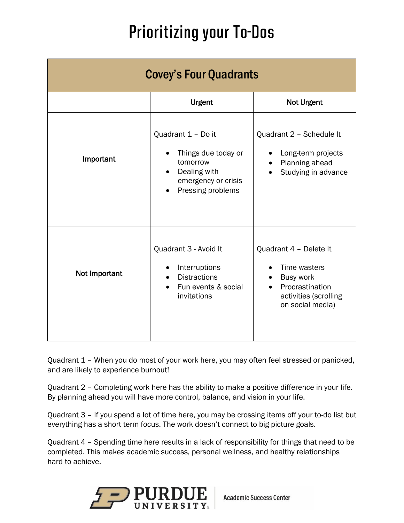## **Prioritizing your To-Dos**

| <b>Covey's Four Quadrants</b> |                                                                                                                                             |                                                                                                                            |
|-------------------------------|---------------------------------------------------------------------------------------------------------------------------------------------|----------------------------------------------------------------------------------------------------------------------------|
|                               | <b>Urgent</b>                                                                                                                               | Not Urgent                                                                                                                 |
| Important                     | Quadrant 1 - Do it<br>Things due today or<br>tomorrow<br>Dealing with<br>$\bullet$<br>emergency or crisis<br>Pressing problems<br>$\bullet$ | Quadrant 2 - Schedule It<br>Long-term projects<br>Planning ahead<br>Studying in advance                                    |
| Not Important                 | Quadrant 3 - Avoid It<br>Interruptions<br><b>Distractions</b><br>$\bullet$<br>Fun events & social<br>invitations                            | Quadrant 4 - Delete It<br>Time wasters<br><b>Busy work</b><br>Procrastination<br>activities (scrolling<br>on social media) |

Quadrant 1 – When you do most of your work here, you may often feel stressed or panicked, and are likely to experience burnout!

Quadrant 2 – Completing work here has the ability to make a positive difference in your life. By planning ahead you will have more control, balance, and vision in your life.

Quadrant 3 – If you spend a lot of time here, you may be crossing items off your to-do list but everything has a short term focus. The work doesn't connect to big picture goals.

Quadrant 4 – Spending time here results in a lack of responsibility for things that need to be completed. This makes academic success, personal wellness, and healthy relationships hard to achieve.